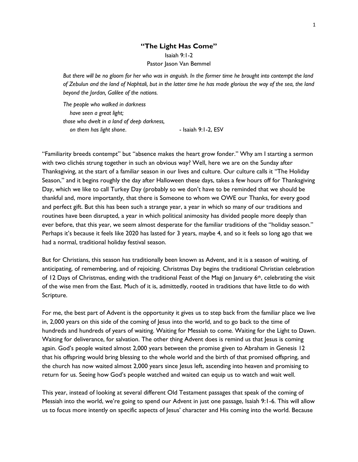# **"The Light Has Come"** Isaiah 9:1-2 Pastor Jason Van Bemmel

*But there will be no gloom for her who was in anguish. In the former time he brought into contempt the land of Zebulun and the land of Naphtali, but in the latter time he has made glorious the way of the sea, the land beyond the Jordan, Galilee of the nations.*

*The people who walked in darkness have seen a great light; those who dwelt in a land of deep darkness, on them has light shone*. - Isaiah 9:1-2, ESV

"Familiarity breeds contempt" but "absence makes the heart grow fonder." Why am I starting a sermon with two clichés strung together in such an obvious way? Well, here we are on the Sunday after Thanksgiving, at the start of a familiar season in our lives and culture. Our culture calls it "The Holiday Season," and it begins roughly the day after Halloween these days, takes a few hours off for Thanksgiving Day, which we like to call Turkey Day (probably so we don't have to be reminded that we should be thankful and, more importantly, that there is Someone to whom we OWE our Thanks, for every good and perfect gift. But this has been such a strange year, a year in which so many of our traditions and routines have been disrupted, a year in which political animosity has divided people more deeply than ever before, that this year, we seem almost desperate for the familiar traditions of the "holiday season." Perhaps it's because it feels like 2020 has lasted for 3 years, maybe 4, and so it feels so long ago that we had a normal, traditional holiday festival season.

But for Christians, this season has traditionally been known as Advent, and it is a season of waiting, of anticipating, of remembering, and of rejoicing. Christmas Day begins the traditional Christian celebration of 12 Days of Christmas, ending with the traditional Feast of the Magi on January 6th, celebrating the visit of the wise men from the East. Much of it is, admittedly, rooted in traditions that have little to do with Scripture.

For me, the best part of Advent is the opportunity it gives us to step back from the familiar place we live in, 2,000 years on this side of the coming of Jesus into the world, and to go back to the time of hundreds and hundreds of years of waiting. Waiting for Messiah to come. Waiting for the Light to Dawn. Waiting for deliverance, for salvation. The other thing Advent does is remind us that Jesus is coming again. God's people waited almost 2,000 years between the promise given to Abraham in Genesis 12 that his offspring would bring blessing to the whole world and the birth of that promised offspring, and the church has now waited almost 2,000 years since Jesus left, ascending into heaven and promising to return for us. Seeing how God's people watched and waited can equip us to watch and wait well.

This year, instead of looking at several different Old Testament passages that speak of the coming of Messiah into the world, we're going to spend our Advent in just one passage, Isaiah 9:1-6. This will allow us to focus more intently on specific aspects of Jesus' character and His coming into the world. Because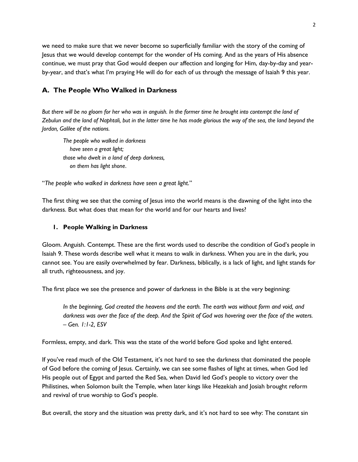we need to make sure that we never become so superficially familiar with the story of the coming of Jesus that we would develop contempt for the wonder of Hs coming. And as the years of His absence continue, we must pray that God would deepen our affection and longing for Him, day-by-day and yearby-year, and that's what I'm praying He will do for each of us through the message of Isaiah 9 this year.

# **A. The People Who Walked in Darkness**

*But there will be no gloom for her who was in anguish. In the former time he brought into contempt the land of Zebulun and the land of Naphtali, but in the latter time he has made glorious the way of the sea, the land beyond the Jordan, Galilee of the nations.*

*The people who walked in darkness have seen a great light; those who dwelt in a land of deep darkness, on them has light shone*.

"*The people who walked in darkness have seen a great light*."

The first thing we see that the coming of Jesus into the world means is the dawning of the light into the darkness. But what does that mean for the world and for our hearts and lives?

### **1. People Walking in Darkness**

Gloom. Anguish. Contempt. These are the first words used to describe the condition of God's people in Isaiah 9. These words describe well what it means to walk in darkness. When you are in the dark, you cannot see. You are easily overwhelmed by fear. Darkness, biblically, is a lack of light, and light stands for all truth, righteousness, and joy.

The first place we see the presence and power of darkness in the Bible is at the very beginning:

*In the beginning, God created the heavens and the earth. The earth was without form and void, and darkness was over the face of the deep. And the Spirit of God was hovering over the face of the waters. – Gen. 1:1-2, ESV*

Formless, empty, and dark. This was the state of the world before God spoke and light entered.

If you've read much of the Old Testament, it's not hard to see the darkness that dominated the people of God before the coming of Jesus. Certainly, we can see some flashes of light at times, when God led His people out of Egypt and parted the Red Sea, when David led God's people to victory over the Philistines, when Solomon built the Temple, when later kings like Hezekiah and Josiah brought reform and revival of true worship to God's people.

But overall, the story and the situation was pretty dark, and it's not hard to see why: The constant sin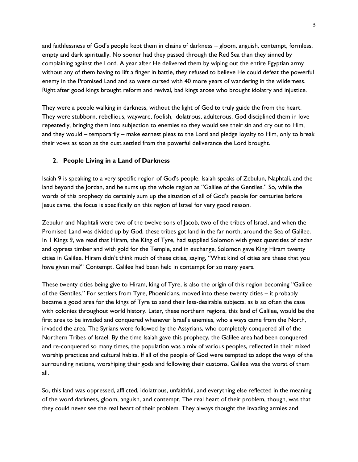and faithlessness of God's people kept them in chains of darkness – gloom, anguish, contempt, formless, empty and dark spiritually. No sooner had they passed through the Red Sea than they sinned by complaining against the Lord. A year after He delivered them by wiping out the entire Egyptian army without any of them having to lift a finger in battle, they refused to believe He could defeat the powerful enemy in the Promised Land and so were cursed with 40 more years of wandering in the wilderness. Right after good kings brought reform and revival, bad kings arose who brought idolatry and injustice.

They were a people walking in darkness, without the light of God to truly guide the from the heart. They were stubborn, rebellious, wayward, foolish, idolatrous, adulterous. God disciplined them in love repeatedly, bringing them into subjection to enemies so they would see their sin and cry out to Him, and they would – temporarily – make earnest pleas to the Lord and pledge loyalty to Him, only to break their vows as soon as the dust settled from the powerful deliverance the Lord brought.

### **2. People Living in a Land of Darkness**

Isaiah 9 is speaking to a very specific region of God's people. Isaiah speaks of Zebulun, Naphtali, and the land beyond the Jordan, and he sums up the whole region as "Galilee of the Gentiles." So, while the words of this prophecy do certainly sum up the situation of all of God's people for centuries before Jesus came, the focus is specifically on this region of Israel for very good reason.

Zebulun and Naphtali were two of the twelve sons of Jacob, two of the tribes of Israel, and when the Promised Land was divided up by God, these tribes got land in the far north, around the Sea of Galilee. In 1 Kings 9, we read that Hiram, the King of Tyre, had supplied Solomon with great quantities of cedar and cypress timber and with gold for the Temple, and in exchange, Solomon gave King Hiram twenty cities in Galilee. Hiram didn't think much of these cities, saying, "What kind of cities are these that you have given me?" Contempt. Galilee had been held in contempt for so many years.

These twenty cities being give to Hiram, king of Tyre, is also the origin of this region becoming "Galilee of the Gentiles." For settlers from Tyre, Phoenicians, moved into these twenty cities – it probably became a good area for the kings of Tyre to send their less-desirable subjects, as is so often the case with colonies throughout world history. Later, these northern regions, this land of Galilee, would be the first area to be invaded and conquered whenever Israel's enemies, who always came from the North, invaded the area. The Syrians were followed by the Assyrians, who completely conquered all of the Northern Tribes of Israel. By the time Isaiah gave this prophecy, the Galilee area had been conquered and re-conquered so many times, the population was a mix of various peoples, reflected in their mixed worship practices and cultural habits. If all of the people of God were tempted to adopt the ways of the surrounding nations, worshiping their gods and following their customs, Galilee was the worst of them all.

So, this land was oppressed, afflicted, idolatrous, unfaithful, and everything else reflected in the meaning of the word darkness, gloom, anguish, and contempt. The real heart of their problem, though, was that they could never see the real heart of their problem. They always thought the invading armies and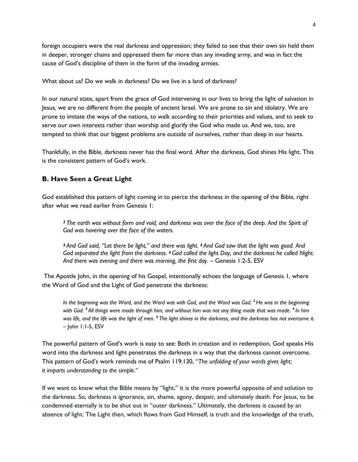foreign occupiers were the real darkness and oppression; they failed to see that their own sin held them in deeper, stronger chains and oppressed them far more than any invading army, and was in fact the cause of God's discipline of them in the form of the invading armies.

What about us? Do we walk in darkness? Do we live in a land of darkness?

In our natural state, apart from the grace of God intervening in our lives to bring the light of salvation in Jesus, we are no different from the people of ancient Israel. We are prone to sin and idolatry. We are prone to imitate the ways of the nations, to walk according to their priorities and values, and to seek to serve our own interests rather than worship and glorify the God who made us. And we, too, are tempted to think that our biggest problems are outside of ourselves, rather than deep in our hearts.

Thankfully, in the Bible, darkness never has the final word. After the darkness, God shines His light. This is the consistent pattern of God's work.

### **B. Have Seen a Great Light**

God established this pattern of light coming in to pierce the darkness in the opening of the Bible, right after what we read earlier from Genesis 1:

*<sup>2</sup> The earth was without form and void, and darkness was over the face of the deep. And the Spirit of God was hovering over the face of the waters.*

*<sup>3</sup> And God said, "Let there be light," and there was light. <sup>4</sup> And God saw that the light was good. And*  God separated the light from the darkness. <sup>5</sup> God called the light Day, and the darkness he called Night. *And there was evening and there was morning, the first day.* – Genesis 1:2-5, ESV

The Apostle John, in the opening of his Gospel, intentionally echoes the language of Genesis 1, where the Word of God and the Light of God penetrate the darkness:

*In the beginning was the Word, and the Word was with God, and the Word was God. <sup>2</sup>He was in the beginning with God. 3 All things were made through him, and without him was not any thing made that was made. 4 In him was life, and the life was the light of men. 5 The light shines in the darkness, and the darkness has not overcome it.* – John 1:1-5, ESV

The powerful pattern of God's work is easy to see: Both in creation and in redemption, God speaks His word into the darkness and light penetrates the darkness in a way that the darkness cannot overcome. This pattern of God's work reminds me of Psalm 119:130, "*The unfolding of your words gives light; it imparts understanding to the simple*."

If we want to know what the Bible means by "light," it is the more powerful opposite of and solution to the darkness. So, darkness is ignorance, sin, shame, agony, despair, and ultimately death. For Jesus, to be condemned eternally is to be shut out in "outer darkness." Ultimately, the darkness is caused by an absence of light. The Light then, which flows from God Himself, is truth and the knowledge of the truth,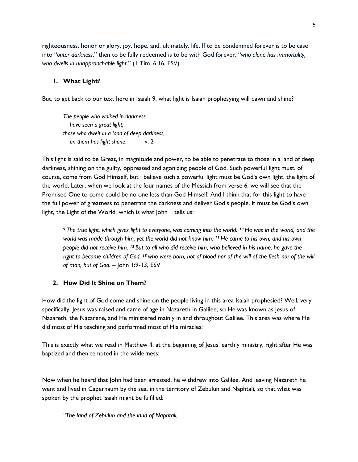righteousness, honor or glory, joy, hope, and, ultimately, life. If to be condemned forever is to be case into "*outer darkness*," then to be fully redeemed is to be with God forever, "*who alone has immortality, who dwells in unapproachable light*." (1 Tim. 6:16, ESV)

### **1. What Light?**

But, to get back to our text here in Isaiah 9, what light is Isaiah prophesying will dawn and shine?

*The people who walked in darkness have seen a great light; those who dwelt in a land of deep darkness, on them has light shone*. – v. 2

This light is said to be Great, in magnitude and power, to be able to penetrate to those in a land of deep darkness, shining on the guilty, oppressed and agonizing people of God. Such powerful light must, of course, come from God Himself, but I believe such a powerful light must be God's own light, the light of the world. Later, when we look at the four names of the Messiah from verse 6, we will see that the Promised One to come could be no one less than God Himself. And I think that for this light to have the full power of greatness to penetrate the darkness and deliver God's people, it must be God's own light, the Light of the World, which is what John I tells us:

*<sup>9</sup> The true light, which gives light to everyone, was coming into the world. <sup>10</sup> He was in the world, and the world was made through him, yet the world did not know him. <sup>11</sup> He came to his own, and his own people did not receive him. <sup>12</sup> But to all who did receive him, who believed in his name, he gave the right to become children of God, <sup>13</sup> who were born, not of blood nor of the will of the flesh nor of the will of man, but of God.* – John 1:9-13, ESV

### **2. How Did It Shine on Them?**

How did the light of God come and shine on the people living in this area Isaiah prophesied? Well, very specifically, Jesus was raised and came of age in Nazareth in Galilee, so He was known as Jesus of Nazareth, the Nazarene, and He ministered mainly in and throughout Galilee. This area was where He did most of His teaching and performed most of His miracles:

This is exactly what we read in Matthew 4, at the beginning of Jesus' earthly ministry, right after He was baptized and then tempted in the wilderness:

Now when he heard that John had been arrested, he withdrew into Galilee. And leaving Nazareth he went and lived in Capernaum by the sea, in the territory of Zebulun and Naphtali, so that what was spoken by the prophet Isaiah might be fulfilled:

*"The land of Zebulun and the land of Naphtali,*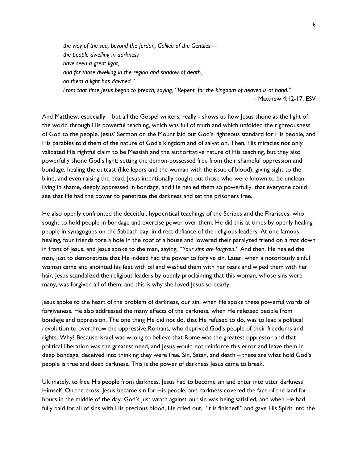*the way of the sea, beyond the Jordan, Galilee of the Gentiles the people dwelling in darkness have seen a great light, and for those dwelling in the region and shadow of death, on them a light has dawned." From that time Jesus began to preach, saying, "Repent, for the kingdom of heaven is at hand."* – Matthew 4:12-17, ESV

And Matthew, especially – but all the Gospel writers, really - shows us how Jesus shone as the light of the world through His powerful teaching, which was full of truth and which unfolded the righteousness of God to the people. Jesus' Sermon on the Mount laid out God's righteous standard for His people, and His parables told them of the nature of God's kingdom and of salvation. Then, His miracles not only validated His rightful claim to be Messiah and the authoritative nature of His teaching, but they also powerfully shone God's light: setting the demon-possessed free from their shameful oppression and bondage, healing the outcast (like lepers and the woman with the issue of blood), giving sight to the blind, and even raising the dead. Jesus intentionally sought out those who were known to be unclean, living in shame, deeply oppressed in bondage, and He healed them so powerfully, that everyone could see that He had the power to penetrate the darkness and set the prisoners free.

He also openly confronted the deceitful, hypocritical teachings of the Scribes and the Pharisees, who sought to hold people in bondage and exercise power over them. He did this at times by openly healing people in synagogues on the Sabbath day, in direct defiance of the religious leaders. At one famous healing, four friends tore a hole in the roof of a house and lowered their paralyzed friend on a mat down in front of Jesus, and Jesus spoke to the man, saying, "*Your sins are forgiven*." And then, He healed the man, just to demonstrate that He indeed had the power to forgive sin. Later, when a notoriously sinful woman came and anointed his feet with oil and washed them with her tears and wiped them with her hair, Jesus scandalized the religious leaders by openly proclaiming that this woman, whose sins were many, was forgiven all of them, and this is why she loved Jesus so dearly.

Jesus spoke to the heart of the problem of darkness, our sin, when He spoke these powerful words of forgiveness. He also addressed the many effects of the darkness, when He released people from bondage and oppression. The one thing He did not do, that He refused to do, was to lead a political revolution to overthrow the oppressive Romans, who deprived God's people of their freedoms and rights. Why? Because Israel was wrong to believe that Rome was the greatest oppressor and that political liberation was the greatest need, and Jesus would not reinforce this error and leave them in deep bondage, deceived into thinking they were free. Sin, Satan, and death – these are what hold God's people is true and deep darkness. This is the power of darkness Jesus came to break.

Ultimately, to free His people from darkness, Jesus had to become sin and enter into utter darkness Himself. On the cross, Jesus became sin for His people, and darkness covered the face of the land for hours in the middle of the day. God's just wrath against our sin was being satisfied, and when He had fully paid for all of sins with His precious blood, He cried out, "It is finished!" and gave His Spirit into the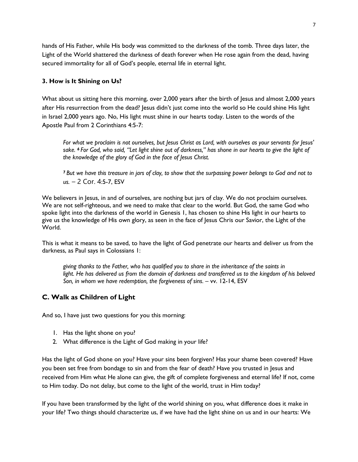hands of His Father, while His body was committed to the darkness of the tomb. Three days later, the Light of the World shattered the darkness of death forever when He rose again from the dead, having secured immortality for all of God's people, eternal life in eternal light.

## **3. How is It Shining on Us?**

What about us sitting here this morning, over 2,000 years after the birth of Jesus and almost 2,000 years after His resurrection from the dead? Jesus didn't just come into the world so He could shine His light in Israel 2,000 years ago. No, His light must shine in our hearts today. Listen to the words of the Apostle Paul from 2 Corinthians 4:5-7:

*For what we proclaim is not ourselves, but Jesus Christ as Lord, with ourselves as your servants for Jesus' sake. <sup>6</sup> For God, who said, "Let light shine out of darkness," has shone in our hearts to give the light of the knowledge of the glory of God in the face of Jesus Christ.*

*<sup>7</sup> But we have this treasure in jars of clay, to show that the surpassing power belongs to God and not to us.* – 2 Cor. 4:5-7, ESV

We believers in Jesus, in and of ourselves, are nothing but jars of clay. We do not proclaim ourselves. We are not self-righteous, and we need to make that clear to the world. But God, the same God who spoke light into the darkness of the world in Genesis 1, has chosen to shine His light in our hearts to give us the knowledge of His own glory, as seen in the face of Jesus Chris our Savior, the Light of the World.

This is what it means to be saved, to have the light of God penetrate our hearts and deliver us from the darkness, as Paul says in Colossians 1:

*giving thanks to the Father, who has qualified you to share in the inheritance of the saints in light. He has delivered us from the domain of darkness and transferred us to the kingdom of his beloved Son, in whom we have redemption, the forgiveness of sins.* – vv. 12-14, ESV

# **C. Walk as Children of Light**

And so, I have just two questions for you this morning:

- 1. Has the light shone on you?
- 2. What difference is the Light of God making in your life?

Has the light of God shone on you? Have your sins been forgiven? Has your shame been covered? Have you been set free from bondage to sin and from the fear of death? Have you trusted in Jesus and received from Him what He alone can give, the gift of complete forgiveness and eternal life? If not, come to Him today. Do not delay, but come to the light of the world, trust in Him today?

If you have been transformed by the light of the world shining on you, what difference does it make in your life? Two things should characterize us, if we have had the light shine on us and in our hearts: We